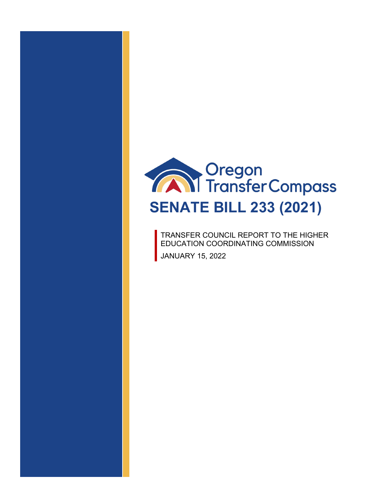

TRANSFER COUNCIL REPORT TO THE HIGHER EDUCATION COORDINATING COMMISSION JANUARY 15, 2022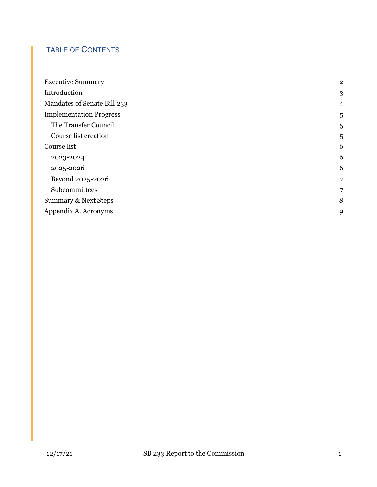# TABLE OF CONTENTS

| <b>Executive Summary</b>        | $\mathbf{2}$   |
|---------------------------------|----------------|
| Introduction                    | 3              |
| Mandates of Senate Bill 233     | $\overline{4}$ |
| <b>Implementation Progress</b>  | 5              |
| The Transfer Council            | 5              |
| Course list creation            | 5              |
| Course list                     | 6              |
| 2023-2024                       | 6              |
| 2025-2026                       | 6              |
| Beyond 2025-2026                | 7              |
| Subcommittees                   | 7              |
| <b>Summary &amp; Next Steps</b> | 8              |
| Appendix A. Acronyms            | 9              |
|                                 |                |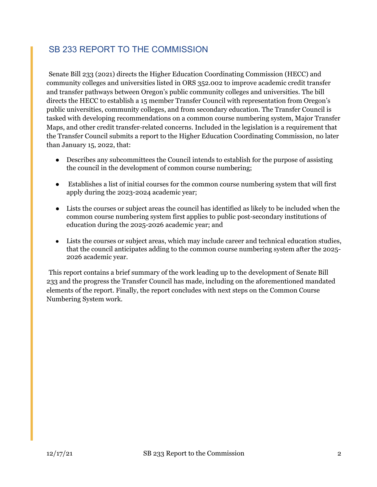## <span id="page-2-0"></span>SB 233 REPORT TO THE COMMISSION

Senate Bill 233 (2021) directs the Higher Education Coordinating Commission (HECC) and community colleges and universities listed in ORS 352.002 to improve academic credit transfer and transfer pathways between Oregon's public community colleges and universities. The bill directs the HECC to establish a 15 member Transfer Council with representation from Oregon's public universities, community colleges, and from secondary education. The Transfer Council is tasked with developing recommendations on a common course numbering system, Major Transfer Maps, and other credit transfer-related concerns. Included in the legislation is a requirement that the Transfer Council submits a report to the Higher Education Coordinating Commission, no later than January 15, 2022, that:

- Describes any subcommittees the Council intends to establish for the purpose of assisting the council in the development of common course numbering;
- Establishes a list of initial courses for the common course numbering system that will first apply during the 2023-2024 academic year;
- Lists the courses or subject areas the council has identified as likely to be included when the common course numbering system first applies to public post-secondary institutions of education during the 2025-2026 academic year; and
- Lists the courses or subject areas, which may include career and technical education studies, that the council anticipates adding to the common course numbering system after the 2025- 2026 academic year.

This report contains a brief summary of the work leading up to the development of Senate Bill 233 and the progress the Transfer Council has made, including on the aforementioned mandated elements of the report. Finally, the report concludes with next steps on the Common Course Numbering System work.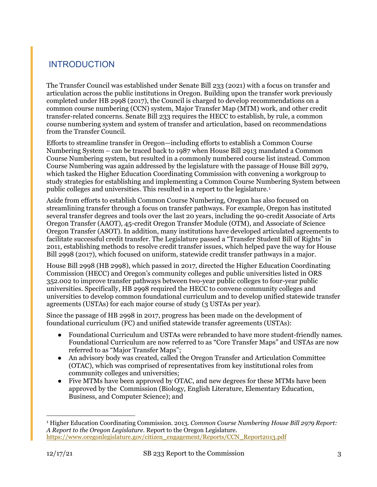# <span id="page-3-0"></span>INTRODUCTION

The Transfer Council was established under Senate Bill 233 (2021) with a focus on transfer and articulation across the public institutions in Oregon. Building upon the transfer work previously completed under HB 2998 (2017), the Council is charged to develop recommendations on a common course numbering (CCN) system, Major Transfer Map (MTM) work, and other credit transfer-related concerns. Senate Bill 233 requires the HECC to establish, by rule, a common course numbering system and system of transfer and articulation, based on recommendations from the Transfer Council.

Efforts to streamline transfer in Oregon—including efforts to establish a Common Course Numbering System – can be traced back to 1987 when House Bill 2913 mandated a Common Course Numbering system, but resulted in a commonly numbered course list instead. Common Course Numbering was again addressed by the legislature with the passage of House Bill 2979, which tasked the Higher Education Coordinating Commission with convening a workgroup to study strategies for establishing and implementing a Common Course Numbering System between public colleges and universities. This resulted in a report to the legislature.<sup>1</sup>

Aside from efforts to establish Common Course Numbering, Oregon has also focused on streamlining transfer through a focus on transfer pathways. For example, Oregon has instituted several transfer degrees and tools over the last 20 years, including the 90-credit Associate of Arts Oregon Transfer (AAOT), 45-credit Oregon Transfer Module (OTM), and Associate of Science Oregon Transfer (ASOT). In addition, many institutions have developed articulated agreements to facilitate successful credit transfer. The Legislature passed a "Transfer Student Bill of Rights" in 2011, establishing methods to resolve credit transfer issues, which helped pave the way for House Bill 2998 (2017), which focused on uniform, statewide credit transfer pathways in a major.

House Bill 2998 (HB 2998), which passed in 2017, directed the Higher Education Coordinating Commission (HECC) and Oregon's community colleges and public universities listed in ORS 352.002 to improve transfer pathways between two-year public colleges to four-year public universities. Specifically, HB 2998 required the HECC to convene community colleges and universities to develop common foundational curriculum and to develop unified statewide transfer agreements (USTAs) for each major course of study (3 USTAs per year).

Since the passage of HB 2998 in 2017, progress has been made on the development of foundational curriculum (FC) and unified statewide transfer agreements (USTAs):

- Foundational Curriculum and USTAs were rebranded to have more student-friendly names. Foundational Curriculum are now referred to as "Core Transfer Maps" and USTAs are now referred to as "Major Transfer Maps";
- An advisory body was created, called the Oregon Transfer and Articulation Committee (OTAC), which was comprised of representatives from key institutional roles from community colleges and universities;
- Five MTMs have been approved by OTAC, and new degrees for these MTMs have been approved by the Commission (Biology, English Literature, Elementary Education, Business, and Computer Science); and

<span id="page-3-1"></span> <sup>1</sup> Higher Education Coordinating Commission. 2013. *Common Course Numbering House Bill 2979 Report: A Report to the Oregon Legislature*. Report to the Oregon Legislature. [https://www.oregonlegislature.gov/citizen\\_engagement/Reports/CCN\\_Report2013.pdf](https://www.oregonlegislature.gov/citizen_engagement/Reports/CCN_Report2013.pdf)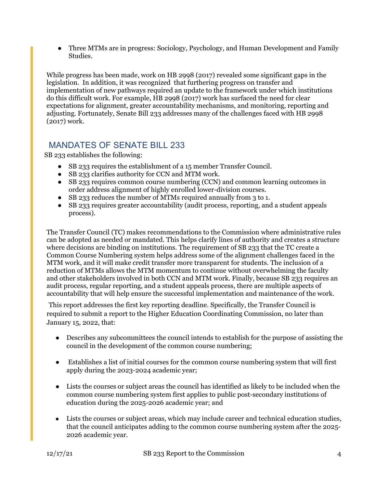• Three MTMs are in progress: Sociology, Psychology, and Human Development and Family Studies.

While progress has been made, work on HB 2998 (2017) revealed some significant gaps in the legislation. In addition, it was recognized that furthering progress on transfer and implementation of new pathways required an update to the framework under which institutions do this difficult work. For example, HB 2998 (2017) work has surfaced the need for clear expectations for alignment, greater accountability mechanisms, and monitoring, reporting and adjusting. Fortunately, Senate Bill 233 addresses many of the challenges faced with HB 2998 (2017) work.

## <span id="page-4-0"></span>MANDATES OF SENATE BILL 233

SB 233 establishes the following:

- SB 233 requires the establishment of a 15 member Transfer Council.
- SB 233 clarifies authority for CCN and MTM work.
- SB 233 requires common course numbering (CCN) and common learning outcomes in order address alignment of highly enrolled lower-division courses.
- SB 233 reduces the number of MTMs required annually from 3 to 1.
- SB 233 requires greater accountability (audit process, reporting, and a student appeals process).

The Transfer Council (TC) makes recommendations to the Commission where administrative rules can be adopted as needed or mandated. This helps clarify lines of authority and creates a structure where decisions are binding on institutions. The requirement of SB 233 that the TC create a Common Course Numbering system helps address some of the alignment challenges faced in the MTM work, and it will make credit transfer more transparent for students. The inclusion of a reduction of MTMs allows the MTM momentum to continue without overwhelming the faculty and other stakeholders involved in both CCN and MTM work. Finally, because SB 233 requires an audit process, regular reporting, and a student appeals process, there are multiple aspects of accountability that will help ensure the successful implementation and maintenance of the work.

This report addresses the first key reporting deadline. Specifically, the Transfer Council is required to submit a report to the Higher Education Coordinating Commission, no later than January 15, 2022, that:

- Describes any subcommittees the council intends to establish for the purpose of assisting the council in the development of the common course numbering;
- Establishes a list of initial courses for the common course numbering system that will first apply during the 2023-2024 academic year;
- Lists the courses or subject areas the council has identified as likely to be included when the common course numbering system first applies to public post-secondary institutions of education during the 2025-2026 academic year; and
- Lists the courses or subject areas, which may include career and technical education studies, that the council anticipates adding to the common course numbering system after the 2025- 2026 academic year.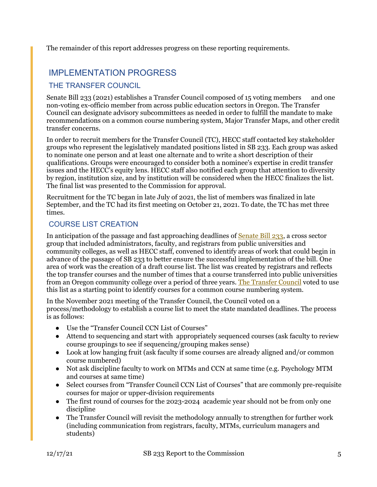The remainder of this report addresses progress on these reporting requirements.

## <span id="page-5-0"></span>IMPLEMENTATION PROGRESS

### <span id="page-5-1"></span>THE TRANSFER COUNCIL

Senate Bill 233 (2021) establishes a Transfer Council composed of 15 voting members and one non-voting ex-officio member from across public education sectors in Oregon. The Transfer Council can designate advisory subcommittees as needed in order to fulfill the mandate to make recommendations on a common course numbering system, Major Transfer Maps, and other credit transfer concerns.

In order to recruit members for the Transfer Council (TC), HECC staff contacted key stakeholder groups who represent the legislatively mandated positions listed in SB 233. Each group was asked to nominate one person and at least one alternate and to write a short description of their qualifications. Groups were encouraged to consider both a nominee's expertise in credit transfer issues and the HECC's equity lens. HECC staff also notified each group that attention to diversity by region, institution size, and by institution will be considered when the HECC finalizes the list. The final list was presented to the Commission for approval.

Recruitment for the TC began in late July of 2021, the list of members was finalized in late September, and the TC had its first meeting on October 21, 2021. To date, the TC has met three times.

## <span id="page-5-2"></span>COURSE LIST CREATION

In anticipation of the passage and fast approaching deadlines of [Senate Bill 233,](https://olis.oregonlegislature.gov/liz/2021R1/Measures/Overview/SB233) a cross sector group that included administrators, faculty, and registrars from public universities and community colleges, as well as HECC staff, convened to identify areas of work that could begin in advance of the passage of SB 233 to better ensure the successful implementation of the bill. One area of work was the creation of a draft course list. The list was created by registrars and reflects the top transfer courses and the number of times that a course transferred into public universities from an Oregon community college over a period of three years. [The Transfer Council](https://www.oregon.gov/highered/policy-collaboration/Pages/transfer-council.aspx) voted to use this list as a starting point to identify courses for a common course numbering system.

In the November 2021 meeting of the Transfer Council, the Council voted on a process/methodology to establish a course list to meet the state mandated deadlines. The process is as follows:

- Use the "Transfer Council CCN List of Courses"
- Attend to sequencing and start with appropriately sequenced courses (ask faculty to review course groupings to see if sequencing/grouping makes sense)
- Look at low hanging fruit (ask faculty if some courses are already aligned and/or common course numbered)
- Not ask discipline faculty to work on MTMs and CCN at same time (e.g. Psychology MTM) and courses at same time)
- Select courses from "Transfer Council CCN List of Courses" that are commonly pre-requisite courses for major or upper-division requirements
- The first round of courses for the 2023-2024 academic year should not be from only one discipline
- The Transfer Council will revisit the methodology annually to strengthen for further work (including communication from registrars, faculty, MTMs, curriculum managers and students)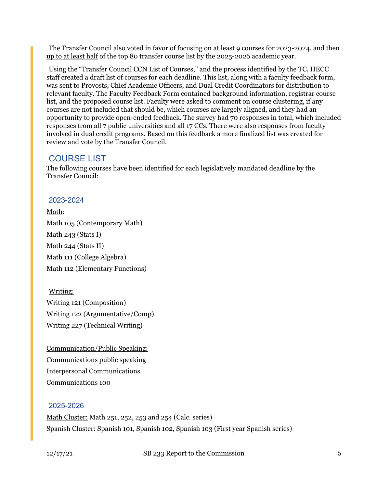The Transfer Council also voted in favor of focusing on at least 9 courses for 2023-2024, and then up to at least half of the top 80 transfer course list by the 2025-2026 academic year.

Using the "Transfer Council CCN List of Courses," and the process identified by the TC, HECC staff created a draft list of courses for each deadline. This list, along with a faculty feedback form, was sent to Provosts, Chief Academic Officers, and Dual Credit Coordinators for distribution to relevant faculty. The Faculty Feedback Form contained background information, registrar course list, and the proposed course list. Faculty were asked to comment on course clustering, if any courses are not included that should be, which courses are largely aligned, and they had an opportunity to provide open-ended feedback. The survey had 70 responses in total, which included responses from all 7 public universities and all 17 CCs. There were also responses from faculty involved in dual credit programs. Based on this feedback a more finalized list was created for review and vote by the Transfer Council.

## <span id="page-6-0"></span>COURSE LIST

The following courses have been identified for each legislatively mandated deadline by the Transfer Council:

### <span id="page-6-1"></span>2023-2024

Math: Math 105 (Contemporary Math) Math 243 (Stats I) Math 244 (Stats II) Math 111 (College Algebra) Math 112 (Elementary Functions)

Writing: Writing 121 (Composition) Writing 122 (Argumentative/Comp) Writing 227 (Technical Writing)

Communication/Public Speaking: Communications public speaking Interpersonal Communications Communications 100

### <span id="page-6-2"></span>2025-2026

Math Cluster: Math 251, 252, 253 and 254 (Calc. series) Spanish Cluster: Spanish 101, Spanish 102, Spanish 103 (First year Spanish series)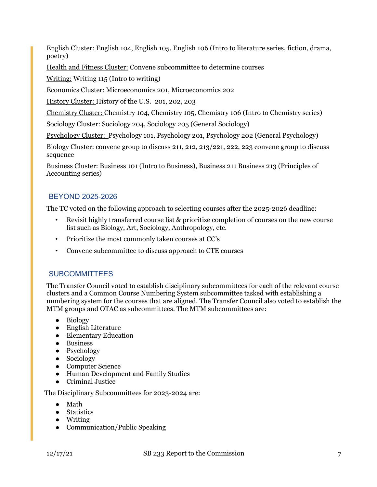English Cluster: English 104, English 105, English 106 (Intro to literature series, fiction, drama, poetry)

Health and Fitness Cluster: Convene subcommittee to determine courses

Writing: Writing 115 (Intro to writing)

Economics Cluster: Microeconomics 201, Microeconomics 202

History Cluster: History of the U.S. 201, 202, 203

Chemistry Cluster: Chemistry 104, Chemistry 105, Chemistry 106 (Intro to Chemistry series)

Sociology Cluster: Sociology 204, Sociology 205 (General Sociology)

Psychology Cluster: Psychology 101, Psychology 201, Psychology 202 (General Psychology)

Biology Cluster: convene group to discuss 211, 212, 213/221, 222, 223 convene group to discuss sequence

Business Cluster: Business 101 (Intro to Business), Business 211 Business 213 (Principles of Accounting series)

### <span id="page-7-0"></span>BEYOND 2025-2026

The TC voted on the following approach to selecting courses after the 2025-2026 deadline:

- Revisit highly transferred course list & prioritize completion of courses on the new course list such as Biology, Art, Sociology, Anthropology, etc.
- Prioritize the most commonly taken courses at CC's
- Convene subcommittee to discuss approach to CTE courses

### <span id="page-7-1"></span>**SUBCOMMITTEES**

The Transfer Council voted to establish disciplinary subcommittees for each of the relevant course clusters and a Common Course Numbering System subcommittee tasked with establishing a numbering system for the courses that are aligned. The Transfer Council also voted to establish the MTM groups and OTAC as subcommittees. The MTM subcommittees are:

- Biology
- English Literature
- Elementary Education
- Business
- Psychology
- Sociology
- Computer Science
- Human Development and Family Studies
- Criminal Justice

The Disciplinary Subcommittees for 2023-2024 are:

- Math
- Statistics
- Writing
- Communication/Public Speaking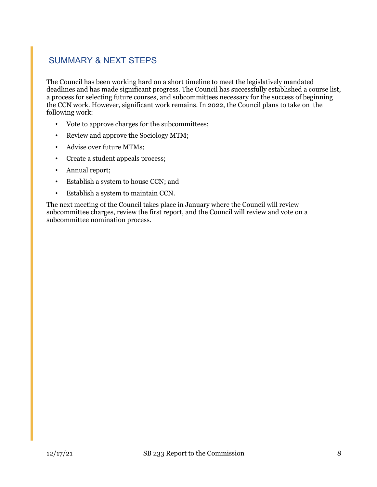# <span id="page-8-0"></span>SUMMARY & NEXT STEPS

The Council has been working hard on a short timeline to meet the legislatively mandated deadlines and has made significant progress. The Council has successfully established a course list, a process for selecting future courses, and subcommittees necessary for the success of beginning the CCN work. However, significant work remains. In 2022, the Council plans to take on the following work:

- Vote to approve charges for the subcommittees;
- Review and approve the Sociology MTM;
- Advise over future MTMs;
- Create a student appeals process;
- Annual report;
- Establish a system to house CCN; and
- Establish a system to maintain CCN.

The next meeting of the Council takes place in January where the Council will review subcommittee charges, review the first report, and the Council will review and vote on a subcommittee nomination process.